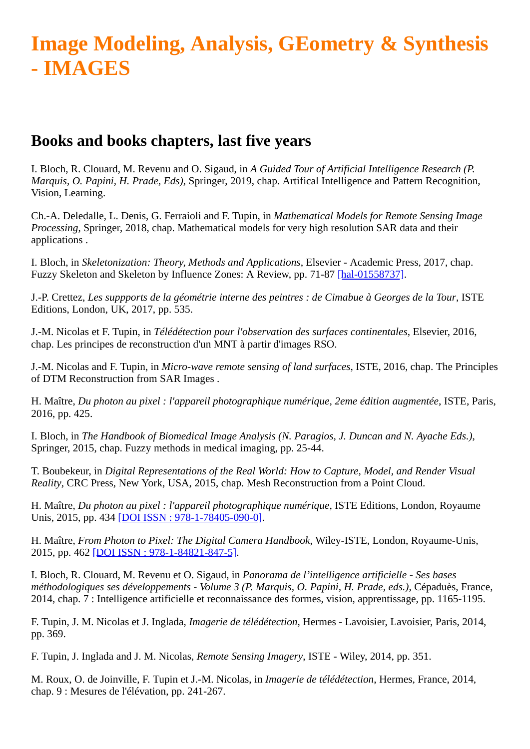## **Image Modeling, Analysis, GEometry & Synthesis - IMAGES**

## **Books and books chapters, last five years**

I. Bloch, R. Clouard, M. Revenu and O. Sigaud, in *A Guided Tour of Artificial Intelligence Research (P. Marquis, O. Papini, H. Prade, Eds)*, Springer, 2019, chap. Artifical Intelligence and Pattern Recognition, Vision, Learning.

Ch.-A. Deledalle, L. Denis, G. Ferraioli and F. Tupin, in *Mathematical Models for Remote Sensing Image Processing*, Springer, 2018, chap. Mathematical models for very high resolution SAR data and their applications .

I. Bloch, in *Skeletonization: Theory, Methods and Applications*, Elsevier - Academic Press, 2017, chap. Fuzzy Skeleton and Skeleton by Influence Zones: A Review, pp. 71-87 [\[hal-01558737\].](http://hal-institut-telecom.archives-ouvertes.fr/hal-01558737)

J.-P. Crettez, *Les suppports de la géométrie interne des peintres : de Cimabue à Georges de la Tour*, ISTE Editions, London, UK, 2017, pp. 535.

J.-M. Nicolas et F. Tupin, in *Télédétection pour l'observation des surfaces continentales*, Elsevier, 2016, chap. Les principes de reconstruction d'un MNT à partir d'images RSO.

J.-M. Nicolas and F. Tupin, in *Micro-wave remote sensing of land surfaces*, ISTE, 2016, chap. The Principles of DTM Reconstruction from SAR Images .

H. Maître, *Du photon au pixel : l'appareil photographique numérique, 2eme édition augmentée*, ISTE, Paris, 2016, pp. 425.

I. Bloch, in *The Handbook of Biomedical Image Analysis (N. Paragios, J. Duncan and N. Ayache Eds.)*, Springer, 2015, chap. Fuzzy methods in medical imaging, pp. 25-44.

T. Boubekeur, in *Digital Representations of the Real World: How to Capture, Model, and Render Visual Reality*, CRC Press, New York, USA, 2015, chap. Mesh Reconstruction from a Point Cloud.

H. Maître, *Du photon au pixel : l'appareil photographique numérique*, ISTE Editions, London, Royaume Unis, 2015, pp. 434 [\[DOI ISSN : 978-1-78405-090-0\].](http://dx.doi.org/ISSN%20:%20978-1-78405-090-0)

H. Maître, *From Photon to Pixel: The Digital Camera Handbook*, Wiley-ISTE, London, Royaume-Unis, 2015, pp. 462 [\[DOI ISSN : 978-1-84821-847-5\].](http://dx.doi.org/ISSN%20:%20%20978-1-84821-847-5)

I. Bloch, R. Clouard, M. Revenu et O. Sigaud, in *Panorama de l'intelligence artificielle - Ses bases méthodologiques ses développements - Volume 3 (P. Marquis, O. Papini, H. Prade, eds.)*, Cépaduès, France, 2014, chap. 7 : Intelligence artificielle et reconnaissance des formes, vision, apprentissage, pp. 1165-1195.

F. Tupin, J. M. Nicolas et J. Inglada, *Imagerie de télédétection*, Hermes - Lavoisier, Lavoisier, Paris, 2014, pp. 369.

F. Tupin, J. Inglada and J. M. Nicolas, *Remote Sensing Imagery*, ISTE - Wiley, 2014, pp. 351.

M. Roux, O. de Joinville, F. Tupin et J.-M. Nicolas, in *Imagerie de télédétection*, Hermes, France, 2014, chap. 9 : Mesures de l'élévation, pp. 241-267.